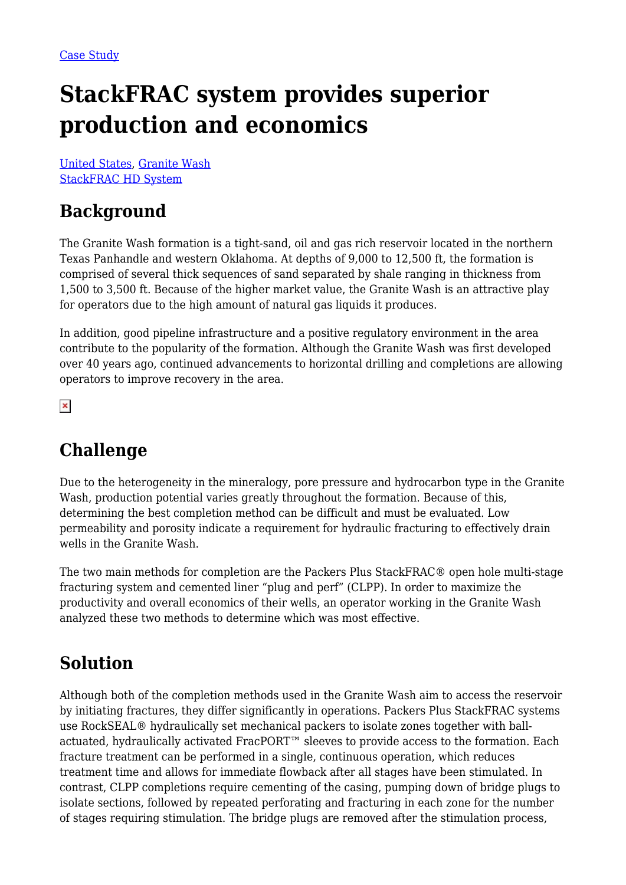# **StackFRAC system provides superior production and economics**

[United States](https://packersplus.com/proven-performance/?region=united-states#listing), [Granite Wash](https://packersplus.com/proven-performance/?formation=granite-wash#listing) [StackFRAC HD System](https://packersplus.com/proven-performance/?system=stackfrac-hd-system#listing)

## **Background**

The Granite Wash formation is a tight-sand, oil and gas rich reservoir located in the northern Texas Panhandle and western Oklahoma. At depths of 9,000 to 12,500 ft, the formation is comprised of several thick sequences of sand separated by shale ranging in thickness from 1,500 to 3,500 ft. Because of the higher market value, the Granite Wash is an attractive play for operators due to the high amount of natural gas liquids it produces.

In addition, good pipeline infrastructure and a positive regulatory environment in the area contribute to the popularity of the formation. Although the Granite Wash was first developed over 40 years ago, continued advancements to horizontal drilling and completions are allowing operators to improve recovery in the area.

 $\pmb{\times}$ 

## **Challenge**

Due to the heterogeneity in the mineralogy, pore pressure and hydrocarbon type in the Granite Wash, production potential varies greatly throughout the formation. Because of this, determining the best completion method can be difficult and must be evaluated. Low permeability and porosity indicate a requirement for hydraulic fracturing to effectively drain wells in the Granite Wash.

The two main methods for completion are the Packers Plus StackFRAC® open hole multi-stage fracturing system and cemented liner "plug and perf" (CLPP). In order to maximize the productivity and overall economics of their wells, an operator working in the Granite Wash analyzed these two methods to determine which was most effective.

## **Solution**

Although both of the completion methods used in the Granite Wash aim to access the reservoir by initiating fractures, they differ significantly in operations. Packers Plus StackFRAC systems use RockSEAL® hydraulically set mechanical packers to isolate zones together with ballactuated, hydraulically activated FracPORT™ sleeves to provide access to the formation. Each fracture treatment can be performed in a single, continuous operation, which reduces treatment time and allows for immediate flowback after all stages have been stimulated. In contrast, CLPP completions require cementing of the casing, pumping down of bridge plugs to isolate sections, followed by repeated perforating and fracturing in each zone for the number of stages requiring stimulation. The bridge plugs are removed after the stimulation process,